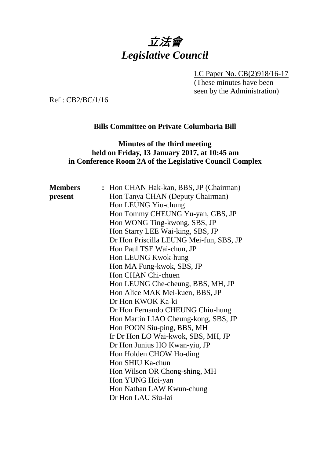# 立法會 *Legislative Council*

LC Paper No. CB(2)918/16-17

(These minutes have been seen by the Administration)

Ref : CB2/BC/1/16

## **Bills Committee on Private Columbaria Bill**

## **Minutes of the third meeting held on Friday, 13 January 2017, at 10:45 am in Conference Room 2A of the Legislative Council Complex**

| <b>Members</b> | : Hon CHAN Hak-kan, BBS, JP (Chairman)  |  |  |
|----------------|-----------------------------------------|--|--|
| present        | Hon Tanya CHAN (Deputy Chairman)        |  |  |
|                | Hon LEUNG Yiu-chung                     |  |  |
|                | Hon Tommy CHEUNG Yu-yan, GBS, JP        |  |  |
|                | Hon WONG Ting-kwong, SBS, JP            |  |  |
|                | Hon Starry LEE Wai-king, SBS, JP        |  |  |
|                | Dr Hon Priscilla LEUNG Mei-fun, SBS, JP |  |  |
|                | Hon Paul TSE Wai-chun, JP               |  |  |
|                | Hon LEUNG Kwok-hung                     |  |  |
|                | Hon MA Fung-kwok, SBS, JP               |  |  |
|                | Hon CHAN Chi-chuen                      |  |  |
|                | Hon LEUNG Che-cheung, BBS, MH, JP       |  |  |
|                | Hon Alice MAK Mei-kuen, BBS, JP         |  |  |
|                | Dr Hon KWOK Ka-ki                       |  |  |
|                | Dr Hon Fernando CHEUNG Chiu-hung        |  |  |
|                | Hon Martin LIAO Cheung-kong, SBS, JP    |  |  |
|                | Hon POON Siu-ping, BBS, MH              |  |  |
|                | Ir Dr Hon LO Wai-kwok, SBS, MH, JP      |  |  |
|                | Dr Hon Junius HO Kwan-yiu, JP           |  |  |
|                | Hon Holden CHOW Ho-ding                 |  |  |
|                | Hon SHIU Ka-chun                        |  |  |
|                | Hon Wilson OR Chong-shing, MH           |  |  |
|                | Hon YUNG Hoi-yan                        |  |  |
|                | Hon Nathan LAW Kwun-chung               |  |  |
|                | Dr Hon LAU Siu-lai                      |  |  |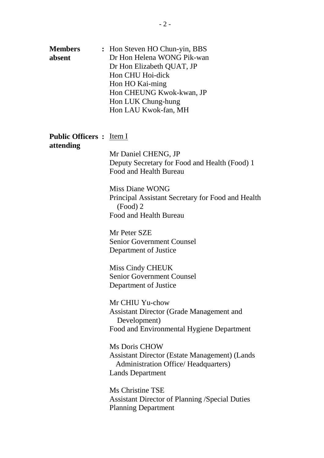| <b>Members</b><br>absent                     | : Hon Steven HO Chun-yin, BBS<br>Dr Hon Helena WONG Pik-wan<br>Dr Hon Elizabeth QUAT, JP<br>Hon CHU Hoi-dick<br>Hon HO Kai-ming<br>Hon CHEUNG Kwok-kwan, JP<br>Hon LUK Chung-hung<br>Hon LAU Kwok-fan, MH |  |
|----------------------------------------------|-----------------------------------------------------------------------------------------------------------------------------------------------------------------------------------------------------------|--|
| <b>Public Officers :</b> Item I<br>attending |                                                                                                                                                                                                           |  |
|                                              | Mr Daniel CHENG, JP<br>Deputy Secretary for Food and Health (Food) 1<br>Food and Health Bureau                                                                                                            |  |
|                                              | Miss Diane WONG<br>Principal Assistant Secretary for Food and Health<br>$(Food)$ 2<br>Food and Health Bureau                                                                                              |  |
|                                              | Mr Peter SZE<br><b>Senior Government Counsel</b><br>Department of Justice                                                                                                                                 |  |
|                                              | Miss Cindy CHEUK<br><b>Senior Government Counsel</b><br>Department of Justice                                                                                                                             |  |
|                                              | Mr CHIU Yu-chow<br><b>Assistant Director (Grade Management and</b><br>Development)<br>Food and Environmental Hygiene Department                                                                           |  |
|                                              | <b>Ms Doris CHOW</b><br><b>Assistant Director (Estate Management) (Lands</b><br><b>Administration Office/ Headquarters)</b><br><b>Lands Department</b>                                                    |  |
|                                              | Ms Christine TSE<br><b>Assistant Director of Planning /Special Duties</b><br><b>Planning Department</b>                                                                                                   |  |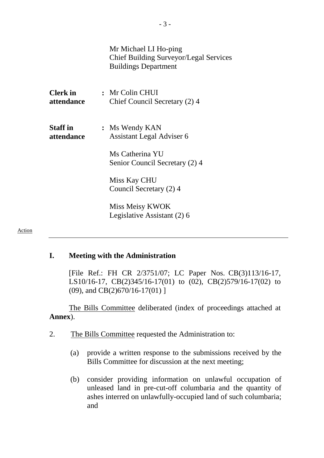|                               | Mr Michael LI Ho-ping<br><b>Chief Building Surveyor/Legal Services</b><br><b>Buildings Department</b> |
|-------------------------------|-------------------------------------------------------------------------------------------------------|
| <b>Clerk</b> in<br>attendance | : Mr Colin CHUI<br>Chief Council Secretary (2) 4                                                      |
| <b>Staff</b> in<br>attendance | : Ms Wendy KAN<br><b>Assistant Legal Adviser 6</b>                                                    |
|                               | Ms Catherina YU<br>Senior Council Secretary (2) 4                                                     |
|                               | Miss Kay CHU<br>Council Secretary (2) 4                                                               |
|                               | Miss Meisy KWOK<br>Legislative Assistant (2) 6                                                        |

#### Action

#### **I. Meeting with the Administration**

[File Ref.: FH CR 2/3751/07; LC Paper Nos. CB(3)113/16-17, LS10/16-17, CB(2)345/16-17(01) to (02), CB(2)579/16-17(02) to (09), and CB(2)670/16-17(01) ]

The Bills Committee deliberated (index of proceedings attached at **Annex**).

- 2. The Bills Committee requested the Administration to:
	- (a) provide a written response to the submissions received by the Bills Committee for discussion at the next meeting;
	- (b) consider providing information on unlawful occupation of unleased land in pre-cut-off columbaria and the quantity of ashes interred on unlawfully-occupied land of such columbaria; and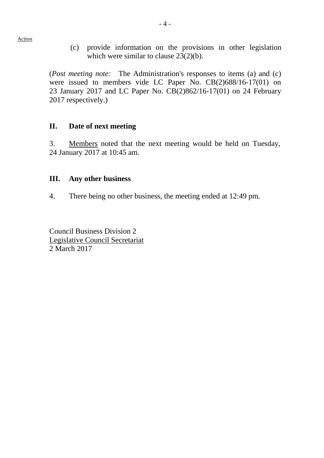(c) provide information on the provisions in other legislation which were similar to clause 23(2)(b).

(*Post meeting note:* The Administration's responses to items (a) and (c) were issued to members vide LC Paper No. CB(2)688/16-17(01) on 23 January 2017 and LC Paper No. CB(2)862/16-17(01) on 24 February 2017 respectively.)

#### **II. Date of next meeting**

3. Members noted that the next meeting would be held on Tuesday, 24 January 2017 at 10:45 am.

### **III. Any other business**

4. There being no other business, the meeting ended at 12:49 pm.

Council Business Division 2 Legislative Council Secretariat 2 March 2017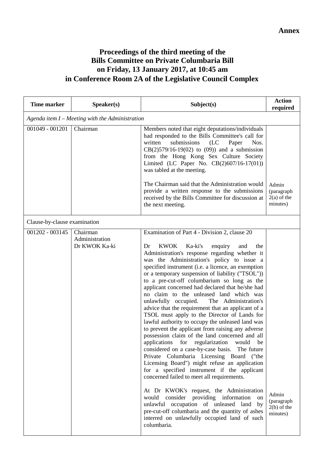## **Proceedings of the third meeting of the Bills Committee on Private Columbaria Bill on Friday, 13 January 2017, at 10:45 am in Conference Room 2A of the Legislative Council Complex**

| <b>Time marker</b>           | Speaker(s)                                      | Subject(s)                                                                                                                                                                                                                                                                                                                                                                                                                                                                                                                                                                                                                                                                                                                                                                                                                                                                                                                                                                                                                                                                                                                                                                                                                                                                                                                         | <b>Action</b><br>required                        |  |  |
|------------------------------|-------------------------------------------------|------------------------------------------------------------------------------------------------------------------------------------------------------------------------------------------------------------------------------------------------------------------------------------------------------------------------------------------------------------------------------------------------------------------------------------------------------------------------------------------------------------------------------------------------------------------------------------------------------------------------------------------------------------------------------------------------------------------------------------------------------------------------------------------------------------------------------------------------------------------------------------------------------------------------------------------------------------------------------------------------------------------------------------------------------------------------------------------------------------------------------------------------------------------------------------------------------------------------------------------------------------------------------------------------------------------------------------|--------------------------------------------------|--|--|
|                              | Agenda item I – Meeting with the Administration |                                                                                                                                                                                                                                                                                                                                                                                                                                                                                                                                                                                                                                                                                                                                                                                                                                                                                                                                                                                                                                                                                                                                                                                                                                                                                                                                    |                                                  |  |  |
| 001049 - 001201              | Chairman                                        | Members noted that eight deputations/individuals<br>had responded to the Bills Committee's call for<br>written<br>submissions<br>(LC)<br>Paper<br>Nos.<br>$CB(2)579/16-19(02)$ to (09)) and a submission<br>from the Hong Kong Sex Culture Society<br>Limited (LC Paper No. $CB(2)607/16-17(01)$ )<br>was tabled at the meeting.<br>The Chairman said that the Administration would<br>provide a written response to the submissions<br>received by the Bills Committee for discussion at<br>the next meeting.                                                                                                                                                                                                                                                                                                                                                                                                                                                                                                                                                                                                                                                                                                                                                                                                                     | Admin<br>(paragraph<br>$2(a)$ of the<br>minutes) |  |  |
| Clause-by-clause examination |                                                 |                                                                                                                                                                                                                                                                                                                                                                                                                                                                                                                                                                                                                                                                                                                                                                                                                                                                                                                                                                                                                                                                                                                                                                                                                                                                                                                                    |                                                  |  |  |
| 001202 - 003145              | Chairman<br>Administration<br>Dr KWOK Ka-ki     | Examination of Part 4 - Division 2, clause 20<br><b>KWOK</b><br>Ka-ki's<br>Dr<br>enquiry<br>and<br>the<br>Administration's response regarding whether it<br>was the Administration's policy to issue a<br>specified instrument (i.e. a licence, an exemption<br>or a temporary suspension of liability ("TSOL"))<br>to a pre-cut-off columbarium so long as the<br>applicant concerned had declared that he/she had<br>no claim to the unleased land which was<br>unlawfully occupied.<br>The Administration's<br>advice that the requirement that an applicant of a<br>TSOL must apply to the Director of Lands for<br>lawful authority to occupy the unleased land was<br>to prevent the applicant from raising any adverse<br>possession claim of the land concerned and all<br>applications for regularization would<br>be<br>considered on a case-by-case basis. The future<br>Private Columbaria Licensing Board ("the<br>Licensing Board") might refuse an application<br>for a specified instrument if the applicant<br>concerned failed to meet all requirements.<br>At Dr KWOK's request, the Administration<br>would<br>consider providing information on<br>unlawful occupation of unleased land by<br>pre-cut-off columbaria and the quantity of ashes<br>interred on unlawfully occupied land of such<br>columbaria. | Admin<br>(paragraph<br>$2(b)$ of the<br>minutes) |  |  |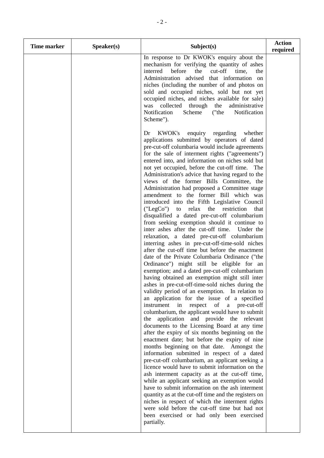| <b>Time marker</b> | Speaker(s) | Subject(s)                                                                                                                                                                                                                                                                                                                                                                                                                                                                                                                                                                                                                                                                                                                                                                                                                                                                                                                                                                                                                                                                                                                                                                                                                                                                                                                                                                                                                                                                                                                                                                                                                                                                                                                                                                                                                                                                                                                                                                                                   | <b>Action</b><br>required |
|--------------------|------------|--------------------------------------------------------------------------------------------------------------------------------------------------------------------------------------------------------------------------------------------------------------------------------------------------------------------------------------------------------------------------------------------------------------------------------------------------------------------------------------------------------------------------------------------------------------------------------------------------------------------------------------------------------------------------------------------------------------------------------------------------------------------------------------------------------------------------------------------------------------------------------------------------------------------------------------------------------------------------------------------------------------------------------------------------------------------------------------------------------------------------------------------------------------------------------------------------------------------------------------------------------------------------------------------------------------------------------------------------------------------------------------------------------------------------------------------------------------------------------------------------------------------------------------------------------------------------------------------------------------------------------------------------------------------------------------------------------------------------------------------------------------------------------------------------------------------------------------------------------------------------------------------------------------------------------------------------------------------------------------------------------------|---------------------------|
|                    |            | In response to Dr KWOK's enquiry about the<br>mechanism for verifying the quantity of ashes<br>cut-off<br>interred<br>before<br>the<br>time,<br>the<br>Administration advised that information<br>on<br>niches (including the number of and photos on<br>sold and occupied niches, sold but not yet<br>occupied niches, and niches available for sale)<br>was collected through the<br>administrative<br>Notification<br>("the<br>Notification<br>Scheme<br>Scheme").                                                                                                                                                                                                                                                                                                                                                                                                                                                                                                                                                                                                                                                                                                                                                                                                                                                                                                                                                                                                                                                                                                                                                                                                                                                                                                                                                                                                                                                                                                                                        |                           |
|                    |            | <b>KWOK's</b><br>enquiry regarding<br>whether<br>Dr<br>applications submitted by operators of dated<br>pre-cut-off columbaria would include agreements<br>for the sale of interment rights ("agreements")<br>entered into, and information on niches sold but<br>not yet occupied, before the cut-off time. The<br>Administration's advice that having regard to the<br>views of the former Bills Committee, the<br>Administration had proposed a Committee stage<br>amendment to the former Bill which was<br>introduced into the Fifth Legislative Council<br>$("LegCo")$ to<br>relax<br>the restriction<br>that<br>disqualified a dated pre-cut-off columbarium<br>from seeking exemption should it continue to<br>inter ashes after the cut-off time. Under the<br>relaxation, a dated pre-cut-off columbarium<br>interring ashes in pre-cut-off-time-sold niches<br>after the cut-off time but before the enactment<br>date of the Private Columbaria Ordinance ("the<br>Ordinance") might still be eligible for an<br>exemption; and a dated pre-cut-off columbarium<br>having obtained an exemption might still inter<br>ashes in pre-cut-off-time-sold niches during the<br>validity period of an exemption. In relation to<br>an application for the issue of a specified<br>instrument<br>in<br>of a pre-cut-off<br>respect<br>columbarium, the applicant would have to submit<br>application and provide the relevant<br>the<br>documents to the Licensing Board at any time<br>after the expiry of six months beginning on the<br>enactment date; but before the expiry of nine<br>months beginning on that date. Amongst the<br>information submitted in respect of a dated<br>pre-cut-off columbarium, an applicant seeking a<br>licence would have to submit information on the<br>ash interment capacity as at the cut-off time,<br>while an applicant seeking an exemption would<br>have to submit information on the ash interment<br>quantity as at the cut-off time and the registers on |                           |
|                    |            | niches in respect of which the interment rights<br>were sold before the cut-off time but had not<br>been exercised or had only been exercised<br>partially.                                                                                                                                                                                                                                                                                                                                                                                                                                                                                                                                                                                                                                                                                                                                                                                                                                                                                                                                                                                                                                                                                                                                                                                                                                                                                                                                                                                                                                                                                                                                                                                                                                                                                                                                                                                                                                                  |                           |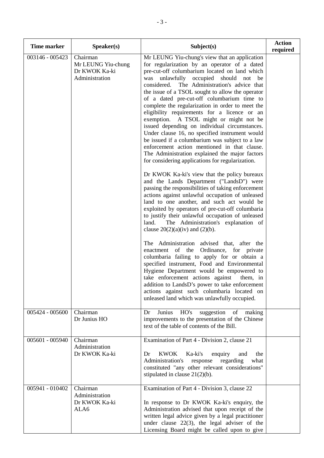| Time marker     | Speaker(s)                                                        | Subject(s)                                                                                                                                                                                                                                                                                                                                                                                                                                                                                                                                                                                                                                                                                                                                                                                                             | <b>Action</b><br>required |
|-----------------|-------------------------------------------------------------------|------------------------------------------------------------------------------------------------------------------------------------------------------------------------------------------------------------------------------------------------------------------------------------------------------------------------------------------------------------------------------------------------------------------------------------------------------------------------------------------------------------------------------------------------------------------------------------------------------------------------------------------------------------------------------------------------------------------------------------------------------------------------------------------------------------------------|---------------------------|
| 003146 - 005423 | Chairman<br>Mr LEUNG Yiu-chung<br>Dr KWOK Ka-ki<br>Administration | Mr LEUNG Yiu-chung's view that an application<br>for regularization by an operator of a dated<br>pre-cut-off columbarium located on land which<br>unlawfully<br>occupied<br>should<br>not<br>was<br>be<br>The Administration's advice that<br>considered.<br>the issue of a TSOL sought to allow the operator<br>of a dated pre-cut-off columbarium time to<br>complete the regularization in order to meet the<br>eligibility requirements for a licence or an<br>exemption. A TSOL might or might not be<br>issued depending on individual circumstances.<br>Under clause 16, no specified instrument would<br>be issued if a columbarium was subject to a law<br>enforcement action mentioned in that clause.<br>The Administration explained the major factors<br>for considering applications for regularization. |                           |
|                 |                                                                   | Dr KWOK Ka-ki's view that the policy bureaux<br>and the Lands Department ("LandsD") were<br>passing the responsibilities of taking enforcement<br>actions against unlawful occupation of unleased<br>land to one another, and such act would be<br>exploited by operators of pre-cut-off columbaria<br>to justify their unlawful occupation of unleased<br>The Administration's explanation of<br>land.<br>clause $20(2)(a)(iv)$ and $(2)(b)$ .                                                                                                                                                                                                                                                                                                                                                                        |                           |
|                 |                                                                   | The Administration advised that, after the<br>enactment of the<br>Ordinance, for private<br>columbaria failing to apply for or obtain a<br>specified instrument, Food and Environmental<br>Hygiene Department would be empowered to<br>take enforcement actions against<br>them, in<br>addition to LandsD's power to take enforcement<br>actions against such columbaria located on<br>unleased land which was unlawfully occupied.                                                                                                                                                                                                                                                                                                                                                                                    |                           |
| 005424 - 005600 | Chairman<br>Dr Junius HO                                          | Junius<br>HO's<br>suggestion<br>Dr<br>of<br>making<br>improvements to the presentation of the Chinese<br>text of the table of contents of the Bill.                                                                                                                                                                                                                                                                                                                                                                                                                                                                                                                                                                                                                                                                    |                           |
| 005601 - 005940 | Chairman<br>Administration<br>Dr KWOK Ka-ki                       | Examination of Part 4 - Division 2, clause 21<br><b>KWOK</b><br>Ka-ki's<br>Dr<br>enquiry<br>and<br>the<br>what<br>Administration's<br>regarding<br>response<br>constituted "any other relevant considerations"<br>stipulated in clause $21(2)(b)$ .                                                                                                                                                                                                                                                                                                                                                                                                                                                                                                                                                                    |                           |
| 005941 - 010402 | Chairman<br>Administration<br>Dr KWOK Ka-ki<br>ALA6               | Examination of Part 4 - Division 3, clause 22<br>In response to Dr KWOK Ka-ki's enquiry, the<br>Administration advised that upon receipt of the<br>written legal advice given by a legal practitioner<br>under clause $22(3)$ , the legal adviser of the<br>Licensing Board might be called upon to give                                                                                                                                                                                                                                                                                                                                                                                                                                                                                                               |                           |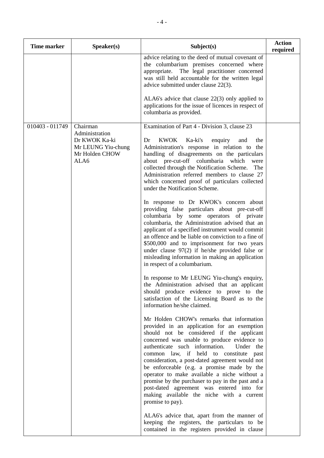| <b>Time marker</b> | Speaker(s)                                                                                  | Subject(s)                                                                                                                                                                                                                                                                                                                                                                                                                                                                                                                                                                                        | <b>Action</b><br>required |
|--------------------|---------------------------------------------------------------------------------------------|---------------------------------------------------------------------------------------------------------------------------------------------------------------------------------------------------------------------------------------------------------------------------------------------------------------------------------------------------------------------------------------------------------------------------------------------------------------------------------------------------------------------------------------------------------------------------------------------------|---------------------------|
|                    |                                                                                             | advice relating to the deed of mutual covenant of<br>the columbarium premises concerned where<br>appropriate.<br>The legal practitioner concerned<br>was still held accountable for the written legal<br>advice submitted under clause 22(3).                                                                                                                                                                                                                                                                                                                                                     |                           |
|                    |                                                                                             | ALA6's advice that clause $22(3)$ only applied to<br>applications for the issue of licences in respect of<br>columbaria as provided.                                                                                                                                                                                                                                                                                                                                                                                                                                                              |                           |
| 010403 - 011749    | Chairman<br>Administration<br>Dr KWOK Ka-ki<br>Mr LEUNG Yiu-chung<br>Mr Holden CHOW<br>ALA6 | Examination of Part 4 - Division 3, clause 23<br><b>KWOK</b><br>Ka-ki's<br>Dr<br>enquiry<br>and<br>the<br>Administration's response in relation to the<br>handling of disagreements on the particulars<br>about pre-cut-off columbaria which were<br>collected through the Notification Scheme.<br>The<br>Administration referred members to clause 27<br>which concerned proof of particulars collected<br>under the Notification Scheme.<br>In response to Dr KWOK's concern about<br>providing false particulars about pre-cut-off                                                             |                           |
|                    |                                                                                             | columbaria by some operators of private<br>columbaria, the Administration advised that an<br>applicant of a specified instrument would commit<br>an offence and be liable on conviction to a fine of<br>\$500,000 and to imprisonment for two years<br>under clause $97(2)$ if he/she provided false or<br>misleading information in making an application<br>in respect of a columbarium.                                                                                                                                                                                                        |                           |
|                    |                                                                                             | In response to Mr LEUNG Yiu-chung's enquiry,<br>the Administration advised that an applicant<br>should produce evidence to prove to the<br>satisfaction of the Licensing Board as to the<br>information he/she claimed.                                                                                                                                                                                                                                                                                                                                                                           |                           |
|                    |                                                                                             | Mr Holden CHOW's remarks that information<br>provided in an application for an exemption<br>should not be considered if the applicant<br>concerned was unable to produce evidence to<br>authenticate such information.<br>Under the<br>common law, if held to constitute past<br>consideration, a post-dated agreement would not<br>be enforceable (e.g. a promise made by the<br>operator to make available a niche without a<br>promise by the purchaser to pay in the past and a<br>post-dated agreement was entered into for<br>making available the niche with a current<br>promise to pay). |                           |
|                    |                                                                                             | ALA6's advice that, apart from the manner of<br>keeping the registers, the particulars to be<br>contained in the registers provided in clause                                                                                                                                                                                                                                                                                                                                                                                                                                                     |                           |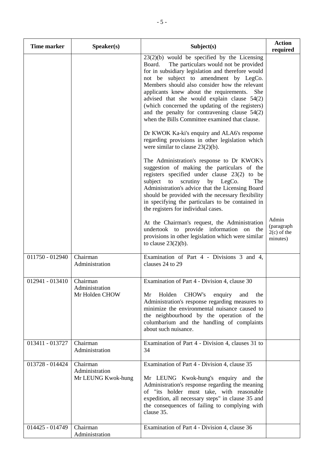| <b>Time marker</b>         | Speaker(s)                                       | Subject(s)                                                                                                                                                                                                                                                                                                                                                                                                                                                                                                         | <b>Action</b><br>required                        |
|----------------------------|--------------------------------------------------|--------------------------------------------------------------------------------------------------------------------------------------------------------------------------------------------------------------------------------------------------------------------------------------------------------------------------------------------------------------------------------------------------------------------------------------------------------------------------------------------------------------------|--------------------------------------------------|
|                            |                                                  | $23(2)(b)$ would be specified by the Licensing<br>The particulars would not be provided<br>Board.<br>for in subsidiary legislation and therefore would<br>not be subject to amendment by LegCo.<br>Members should also consider how the relevant<br>applicants knew about the requirements.<br><b>She</b><br>advised that she would explain clause $54(2)$<br>(which concerned the updating of the registers)<br>and the penalty for contravening clause $54(2)$<br>when the Bills Committee examined that clause. |                                                  |
|                            |                                                  | Dr KWOK Ka-ki's enquiry and ALA6's response<br>regarding provisions in other legislation which<br>were similar to clause $23(2)(b)$ .                                                                                                                                                                                                                                                                                                                                                                              |                                                  |
|                            |                                                  | The Administration's response to Dr KWOK's<br>suggestion of making the particulars of the<br>registers specified under clause 23(2) to be<br>scrutiny<br>by LegCo.<br>subject to<br>The<br>Administration's advice that the Licensing Board<br>should be provided with the necessary flexibility<br>in specifying the particulars to be contained in<br>the registers for individual cases.                                                                                                                        |                                                  |
|                            |                                                  | At the Chairman's request, the Administration<br>undertook to provide information on the<br>provisions in other legislation which were similar<br>to clause $23(2)(b)$ .                                                                                                                                                                                                                                                                                                                                           | Admin<br>(paragraph<br>$2(c)$ of the<br>minutes) |
| 011750 - 012940            | Chairman<br>Administration                       | Examination of Part 4 - Divisions 3 and 4,<br>clauses 24 to 29                                                                                                                                                                                                                                                                                                                                                                                                                                                     |                                                  |
| 012941 - 013410   Chairman | Administration<br>Mr Holden CHOW                 | Examination of Part 4 - Division 4, clause 30<br>CHOW's<br>Mr<br>Holden<br>enquiry<br>and<br>the<br>Administration's response regarding measures to<br>minimize the environmental nuisance caused to<br>the neighbourhood by the operation of the<br>columbarium and the handling of complaints<br>about such nuisance.                                                                                                                                                                                            |                                                  |
| 013411 - 013727            | Chairman<br>Administration                       | Examination of Part 4 - Division 4, clauses 31 to<br>34                                                                                                                                                                                                                                                                                                                                                                                                                                                            |                                                  |
| 013728 - 014424            | Chairman<br>Administration<br>Mr LEUNG Kwok-hung | Examination of Part 4 - Division 4, clause 35<br>Mr LEUNG Kwok-hung's enquiry and the<br>Administration's response regarding the meaning<br>of "its holder must take, with reasonable<br>expedition, all necessary steps" in clause 35 and<br>the consequences of failing to complying with<br>clause 35.                                                                                                                                                                                                          |                                                  |
| 014425 - 014749            | Chairman<br>Administration                       | Examination of Part 4 - Division 4, clause 36                                                                                                                                                                                                                                                                                                                                                                                                                                                                      |                                                  |